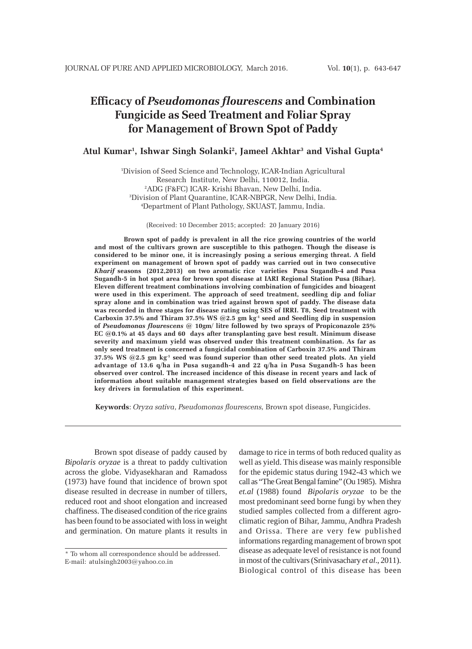# **Efficacy of** *Pseudomonas flourescens* **and Combination Fungicide as Seed Treatment and Foliar Spray for Management of Brown Spot of Paddy**

## **Atul Kumar1 , Ishwar Singh Solanki2 , Jameel Akhtar3 and Vishal Gupta4**

 Division of Seed Science and Technology, ICAR-Indian Agricultural Research Institute, New Delhi, 110012, India. ADG (F&FC) ICAR- Krishi Bhavan, New Delhi, India. Division of Plant Quarantine, ICAR-NBPGR, New Delhi, India. Department of Plant Pathology, SKUAST, Jammu, India.

(Received: 10 December 2015; accepted: 20 January 2016)

**Brown spot of paddy is prevalent in all the rice growing countries of the world and most of the cultivars grown are susceptible to this pathogen. Though the disease is considered to be minor one, it is increasingly posing a serious emerging threat. A field experiment on management of brown spot of paddy was carried out in two consecutive** *Kharif* **seasons (2012,2013) on two aromatic rice varieties Pusa Sugandh-4 and Pusa Sugandh-5 in hot spot area for brown spot disease at IARI Regional Station Pusa (Bihar). Eleven different treatment combinations involving combination of fungicides and bioagent were used in this experiment. The approach of seed treatment, seedling dip and foliar spray alone and in combination was tried against brown spot of paddy. The disease data was recorded in three stages for disease rating using SES of IRRI. T8, Seed treatment with Carboxin 37.5% and Thiram 37.5% WS @2.5 gm kg-1 seed and Seedling dip in suspension of** *Pseudomonas flourescens* **@ 10gm/ litre followed by two sprays of Propiconazole 25% EC @0.1% at 45 days and 60 days after transplanting gave best result. Minimum disease severity and maximum yield was observed under this treatment combination. As far as only seed treatment is concerned a fungicidal combination of Carboxin 37.5% and Thiram 37.5% WS @2.5 gm kg-1 seed was found superior than other seed treated plots. An yield advantage of 13.6 q/ha in Pusa sugandh-4 and 22 q/ha in Pusa Sugandh-5 has been observed over control. The increased incidence of this disease in recent years and lack of information about suitable management strategies based on field observations are the key drivers in formulation of this experiment.**

**Keywords**: *Oryza sativa*, *Pseudomonas flourescens,* Brown spot disease, Fungicides.

Brown spot disease of paddy caused by *Bipolaris oryzae* is a threat to paddy cultivation across the globe. Vidyasekharan and Ramadoss (1973) have found that incidence of brown spot disease resulted in decrease in number of tillers, reduced root and shoot elongation and increased chaffiness. The diseased condition of the rice grains has been found to be associated with loss in weight and germination. On mature plants it results in

damage to rice in terms of both reduced quality as well as yield. This disease was mainly responsible for the epidemic status during 1942-43 which we call as "The Great Bengal famine" (Ou 1985). Mishra *et.al* (1988) found *Bipolaris oryzae* to be the most predominant seed borne fungi by when they studied samples collected from a different agroclimatic region of Bihar, Jammu, Andhra Pradesh and Orissa. There are very few published informations regarding management of brown spot disease as adequate level of resistance is not found in most of the cultivars (Srinivasachary *et al*., 2011). Biological control of this disease has been

<sup>\*</sup> To whom all correspondence should be addressed. E-mail: atulsingh2003@yahoo.co.in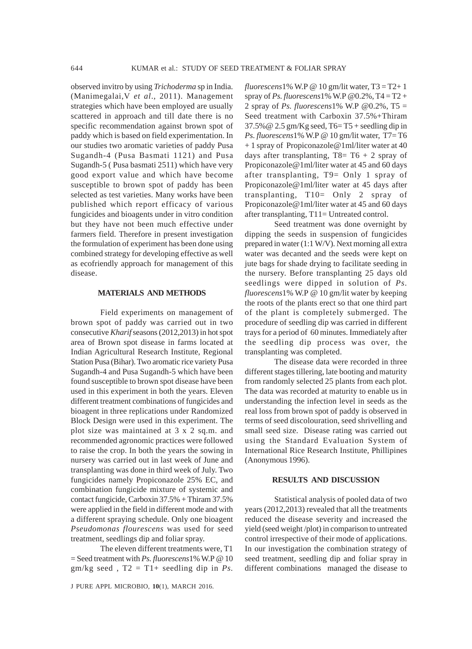observed invitro by using *Trichoderma* sp in India. (Manimegalai,V *et al*., 2011). Management strategies which have been employed are usually scattered in approach and till date there is no specific recommendation against brown spot of paddy which is based on field experimentation. In our studies two aromatic varieties of paddy Pusa Sugandh-4 (Pusa Basmati 1121) and Pusa Sugandh-5 ( Pusa basmati 2511) which have very good export value and which have become susceptible to brown spot of paddy has been selected as test varieties. Many works have been published which report efficacy of various fungicides and bioagents under in vitro condition but they have not been much effective under farmers field. Therefore in present investigation the formulation of experiment has been done using combined strategy for developing effective as well as ecofriendly approach for management of this disease.

## **MATERIALS AND METHODS**

Field experiments on management of brown spot of paddy was carried out in two consecutive *Kharif* seasons (2012,2013) in hot spot area of Brown spot disease in farms located at Indian Agricultural Research Institute, Regional Station Pusa (Bihar). Two aromatic rice variety Pusa Sugandh-4 and Pusa Sugandh-5 which have been found susceptible to brown spot disease have been used in this experiment in both the years. Eleven different treatment combinations of fungicides and bioagent in three replications under Randomized Block Design were used in this experiment. The plot size was maintained at 3 x 2 sq.m. and recommended agronomic practices were followed to raise the crop. In both the years the sowing in nursery was carried out in last week of June and transplanting was done in third week of July. Two fungicides namely Propiconazole 25% EC, and combination fungicide mixture of systemic and contact fungicide, Carboxin 37.5% + Thiram 37.5% were applied in the field in different mode and with a different spraying schedule. Only one bioagent *Pseudomonas flourescens* was used for seed treatment, seedlings dip and foliar spray.

The eleven different treatments were, T1 = Seed treatment with *Ps. fluorescens*1% W.P @ 10  $gm/kg$  seed,  $T2 = T1+$  seedling dip in *Ps*.  $fluorescens1\%$  W.P @ 10 gm/lit water,  $T3 = T2 + 1$ spray of *Ps. fluorescens*1% W.P @0.2%, T4 = T2 + 2 spray of *Ps. fluorescens*1% W.P @0.2%, T5 = Seed treatment with Carboxin 37.5%+Thiram  $37.5\%$  @ 2.5 gm/Kg seed, T6= T5 + seedling dip in *Ps. fluorescens*1% W.P @ 10 gm/lit water, T7= T6 + 1 spray of Propiconazole@1ml/liter water at 40 days after transplanting,  $T8= T6 + 2$  spray of Propiconazole@1ml/liter water at 45 and 60 days after transplanting, T9= Only 1 spray of Propiconazole@1ml/liter water at 45 days after transplanting, T10= Only 2 spray of Propiconazole@1ml/liter water at 45 and 60 days after transplanting, T11= Untreated control.

Seed treatment was done overnight by dipping the seeds in suspension of fungicides prepared in water (1:1 W/V). Next morning all extra water was decanted and the seeds were kept on jute bags for shade drying to facilitate seeding in the nursery. Before transplanting 25 days old seedlings were dipped in solution of *Ps. fluorescens*1% W.P @ 10 gm/lit water by keeping the roots of the plants erect so that one third part of the plant is completely submerged. The procedure of seedling dip was carried in different trays for a period of 60 minutes. Immediately after the seedling dip process was over, the transplanting was completed.

The disease data were recorded in three different stages tillering, late booting and maturity from randomly selected 25 plants from each plot. The data was recorded at maturity to enable us in understanding the infection level in seeds as the real loss from brown spot of paddy is observed in terms of seed discolouration, seed shrivelling and small seed size. Disease rating was carried out using the Standard Evaluation System of International Rice Research Institute, Phillipines (Anonymous 1996).

#### **RESULTS AND DISCUSSION**

Statistical analysis of pooled data of two years (2012,2013) revealed that all the treatments reduced the disease severity and increased the yield (seed weight /plot) in comparison to untreated control irrespective of their mode of applications. In our investigation the combination strategy of seed treatment, seedling dip and foliar spray in different combinations managed the disease to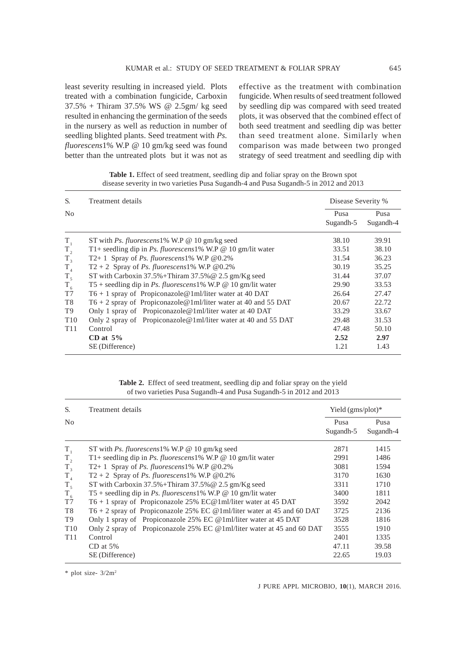least severity resulting in increased yield. Plots treated with a combination fungicide, Carboxin 37.5% + Thiram 37.5% WS @ 2.5gm/ kg seed resulted in enhancing the germination of the seeds in the nursery as well as reduction in number of seedling blighted plants. Seed treatment with *Ps. fluorescens*1% W.P @ 10 gm/kg seed was found better than the untreated plots but it was not as effective as the treatment with combination fungicide. When results of seed treatment followed by seedling dip was compared with seed treated plots, it was observed that the combined effect of both seed treatment and seedling dip was better than seed treatment alone. Similarly when comparison was made between two pronged strategy of seed treatment and seedling dip with

| S.              | Treatment details                                                  |                   | Disease Severity % |  |  |
|-----------------|--------------------------------------------------------------------|-------------------|--------------------|--|--|
| N <sub>0</sub>  |                                                                    | Pusa<br>Sugandh-5 | Pusa<br>Sugandh-4  |  |  |
| $T_{1}$         | ST with Ps. fluorescens 1% W.P $\omega$ 10 gm/kg seed              | 38.10             | 39.91              |  |  |
| $T_{2}$         | T1+ seedling dip in Ps. fluorescens1% W.P @ 10 gm/lit water        | 33.51             | 38.10              |  |  |
| $T_{3}$         | T2+1 Spray of Ps. fluorescens1% W.P $@0.2\%$                       | 31.54             | 36.23              |  |  |
| $T_{4}$         | $T2 + 2$ Spray of <i>Ps. fluorescens</i> 1% W.P @0.2%              | 30.19             | 35.25              |  |  |
| $T_{5}$         | ST with Carboxin $37.5\% + Thiram 37.5\% \t@ 2.5 gm/Kg seed$       | 31.44             | 37.07              |  |  |
| $T_{6}$         | T5 + seedling dip in Ps. fluorescens1% W.P @ 10 gm/lit water       | 29.90             | 33.53              |  |  |
| T7              | $T6 + 1$ spray of Propiconazole@1ml/liter water at 40 DAT          | 26.64             | 27.47              |  |  |
| T8              | $T6 + 2$ spray of Propiconazole @ 1ml/liter water at 40 and 55 DAT | 20.67             | 22.72              |  |  |
| T9              | Only 1 spray of Propiconazole@1ml/liter water at 40 DAT            | 33.29             | 33.67              |  |  |
| T <sub>10</sub> | Only 2 spray of Propiconazole@1ml/liter water at 40 and 55 DAT     | 29.48             | 31.53              |  |  |
| T <sub>11</sub> | Control                                                            | 47.48             | 50.10              |  |  |
|                 | CD at $5\%$                                                        | 2.52              | 2.97               |  |  |
|                 | SE (Difference)                                                    | 1.21              | 1.43               |  |  |

**Table 1.** Effect of seed treatment, seedling dip and foliar spray on the Brown spot disease severity in two varieties Pusa Sugandh-4 and Pusa Sugandh-5 in 2012 and 2013

| <b>Table 2.</b> Effect of seed treatment, seedling dip and foliar spray on the yield |  |  |  |  |
|--------------------------------------------------------------------------------------|--|--|--|--|
| of two varieties Pusa Sugandh-4 and Pusa Sugandh-5 in 2012 and 2013                  |  |  |  |  |

| S.              | Treatment details                                                        | Yield $(gmsplot)*$ |                   |
|-----------------|--------------------------------------------------------------------------|--------------------|-------------------|
| N <sub>0</sub>  |                                                                          | Pusa<br>Sugandh-5  | Pusa<br>Sugandh-4 |
| $T_{1}$         | ST with Ps. fluorescens 1% W.P $\omega$ 10 gm/kg seed                    | 2871               | 1415              |
| $T_{2}$         | T1+ seedling dip in Ps. fluorescens1% W.P $@$ 10 gm/lit water            | 2991               | 1486              |
| $T_{3}$         | T2+ 1 Spray of Ps. fluorescens1% W.P $@0.2\%$                            | 3081               | 1594              |
| $T_{4}$         | $T2 + 2$ Spray of <i>Ps. fluorescens</i> 1% W.P @0.2%                    | 3170               | 1630              |
| $T_{5}$         | ST with Carboxin $37.5\% + Thiram 37.5\% \t@ 2.5 gm/Kg seed$             | 3311               | 1710              |
| $T_{6}$         | T5 + seedling dip in Ps. fluorescens1% W.P $\omega$ 10 gm/lit water      | 3400               | 1811              |
| T7              | T6 + 1 spray of Propiconazole 25% EC@1ml/liter water at 45 DAT           | 3592               | 2042              |
| T <sub>8</sub>  | T6 + 2 spray of Propiconazole 25% EC @1ml/liter water at 45 and 60 DAT   | 3725               | 2136              |
| T9              | Only 1 spray of Propiconazole 25% EC @1ml/liter water at 45 DAT          | 3528               | 1816              |
| T <sub>10</sub> | Only 2 spray of Propiconazole 25% EC @ 1 ml/liter water at 45 and 60 DAT | 3555               | 1910              |
| T <sub>11</sub> | Control                                                                  | 2401               | 1335              |
|                 | $CD$ at 5%                                                               | 47.11              | 39.58             |
|                 | SE (Difference)                                                          | 22.65              | 19.03             |

\* plot size- 3/2m2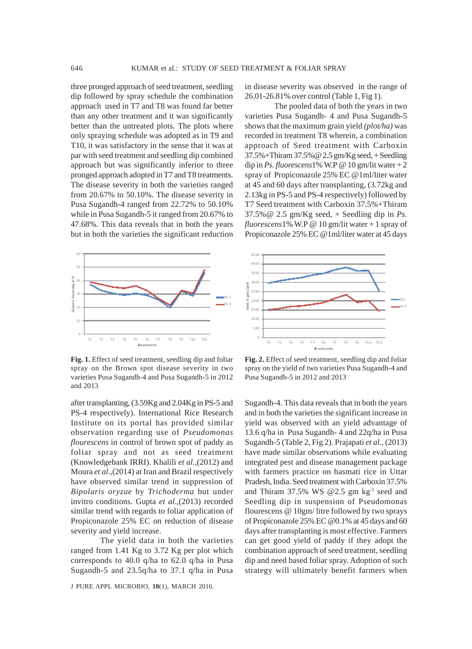three pronged approach of seed treatment, seedling dip followed by spray schedule the combination approach used in T7 and T8 was found far better than any other treatment and it was significantly better than the untreated plots. The plots where only spraying schedule was adopted as in T9 and T10, it was satisfactory in the sense that it was at par with seed treatment and seedling dip combined approach but was significantly inferior to three pronged approach adopted in T7 and T8 treatments. The disease severity in both the varieties ranged from 20.67% to 50.10%. The disease severity in Pusa Sugandh-4 ranged from 22.72% to 50.10% while in Pusa Sugandh-5 it ranged from 20.67% to 47.68%. This data reveals that in both the years but in both the varieties the significant reduction



**Fig. 1.** Effect of seed treatment, seedling dip and foliar spray on the Brown spot disease severity in two varieties Pusa Sugandh-4 and Pusa Sugandh-5 in 2012 and 2013

after transplanting, (3.59Kg and 2.04Kg in PS-5 and PS-4 respectively). International Rice Research Institute on its portal has provided similar observation regarding use of *Pseudomonas flourescens* in control of brown spot of paddy as foliar spray and not as seed treatment (Knowledgebank IRRI). Khalili *et al*.,(2012) and Moura *et al*.,(2014) at Iran and Brazil respectively have observed similar trend in suppression of *Bipolaris oryzae* by *Trichoderma* but under invitro conditions. Gupta *et al*.,(2013) recorded similar trend with regards to foliar application of Propiconazole 25% EC on reduction of disease severity and yield increase.

The yield data in both the varieties ranged from 1.41 Kg to 3.72 Kg per plot which corresponds to 40.0 q/ha to 62.0 q/ha in Pusa Sugandh-5 and 23.5q/ha to 37.1 q/ha in Pusa

J PURE APPL MICROBIO*,* **10**(1), MARCH 2016.

in disease severity was observed in the range of 26.01-26.81% over control (Table 1, Fig 1).

The pooled data of both the years in two varieties Pusa Sugandh- 4 and Pusa Sugandh-5 shows that the maximum grain yield *(plot/ha)* was recorded in treatment T8 wherein, a combination approach of Seed treatment with Carboxin 37.5%+Thiram 37.5%@ 2.5 gm/Kg seed, + Seedling dip in *Ps. fluorescens*1% W.P @ 10 gm/lit water  $+2$ spray of Propiconazole 25% EC @1ml/liter water at 45 and 60 days after transplanting, (3.72kg and 2.13kg in PS-5 and PS-4 respectively) followed by T7 Seed treatment with Carboxin 37.5%+Thiram 37.5%@ 2.5 gm/Kg seed, + Seedling dip in *Ps. fluorescens*1% W.P @ 10 gm/lit water + 1 spray of Propiconazole 25% EC @1ml/liter water at 45 days



**Fig. 2.** Effect of seed treatment, seedling dip and foliar spray on the yield of two varieties Pusa Sugandh-4 and Pusa Sugandh-5 in 2012 and 2013

Sugandh-4. This data reveals that in both the years and in both the varieties the significant increase in yield was observed with an yield advantage of 13.6 q/ha in Pusa Sugandh- 4 and 22q/ha in Pusa Sugandh-5 (Table 2, Fig 2). Prajapati *et al*., (2013) have made similar observations while evaluating integrated pest and disease management package with farmers practice on basmati rice in Uttar Pradesh, India. Seed treatment with Carboxin 37.5% and Thiram 37.5% WS @2.5 gm  $kg^{-1}$  seed and Seedling dip in suspension of Pseudomonas flourescens @ 10gm/ litre followed by two sprays of Propiconazole 25% EC @0.1% at 45 days and 60 days after transplanting is most effective. Farmers can get good yield of paddy if they adopt the combination approach of seed treatment, seedling dip and need based foliar spray. Adoption of such strategy will ultimately benefit farmers when